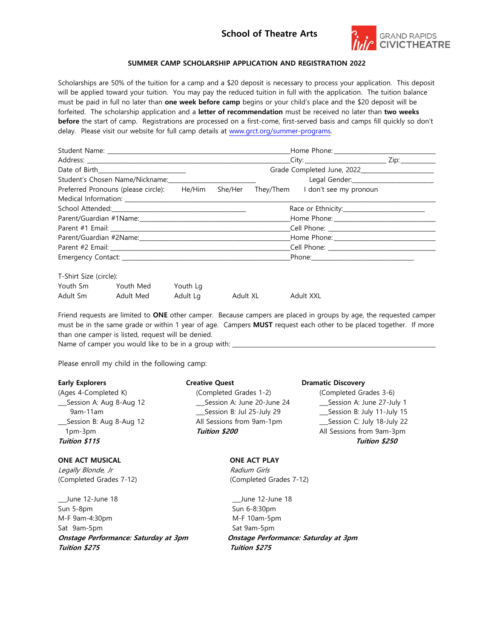## **School of Theatre Arts**



## **SUMMER CAMP SCHOLARSHIP APPLICATION AND REGISTRATION 2022**

Scholarships are 50% of the tuition for a camp and a \$20 deposit is necessary to process your application. This deposit will be applied toward your tuition. You may pay the reduced tuition in full with the application. The tuition balance must be paid in full no later than **one week before camp** begins or your child's place and the \$20 deposit will be forfeited. The scholarship application and a **letter of recommendation** must be received no later than **two weeks before** the start of camp. Registrations are processed on a first-come, first-served basis and camps fill quickly so don't delay. Please visit our website for full camp details at [www.grct.org/summer-programs.](http://www.grct.org/summer-programs)

| Student's Chosen Name/Nickname: ________________________                            |  |  |  |  |  |
|-------------------------------------------------------------------------------------|--|--|--|--|--|
| Preferred Pronouns (please circle): He/Him She/Her They/Them I don't see my pronoun |  |  |  |  |  |
|                                                                                     |  |  |  |  |  |
|                                                                                     |  |  |  |  |  |
|                                                                                     |  |  |  |  |  |
|                                                                                     |  |  |  |  |  |
|                                                                                     |  |  |  |  |  |
|                                                                                     |  |  |  |  |  |
|                                                                                     |  |  |  |  |  |
|                                                                                     |  |  |  |  |  |

| T-Shirt Size (circle): |           |          |          |           |
|------------------------|-----------|----------|----------|-----------|
| Youth Sm               | Youth Med | Youth La |          |           |
| Adult Sm               | Adult Med | Adult La | Adult XL | Adult XXL |

Friend requests are limited to **ONE** other camper. Because campers are placed in groups by age, the requested camper must be in the same grade or within 1 year of age. Campers **MUST** request each other to be placed together. If more than one camper is listed, request will be denied.

Name of camper you would like to be in a group with: \_\_\_\_\_\_\_\_\_\_\_\_\_\_\_\_\_\_\_\_\_\_\_\_\_\_\_\_\_\_\_\_\_\_\_\_\_\_\_\_\_\_\_\_\_\_\_\_\_\_\_\_\_\_\_\_\_\_\_\_\_\_\_\_\_\_\_\_\_\_

Please enroll my child in the following camp:

| <b>Early Explorers</b>    | <b>Creative Quest</b>       | <b>Dramatic Discovery</b>    |
|---------------------------|-----------------------------|------------------------------|
| (Ages 4-Completed K)      | (Completed Grades 1-2)      | (Completed Grades 3-6)       |
| __Session A: Aug 8-Aug 12 | Session A: June 20-June 24  | __Session A: June 27-July 1  |
| $9am-11am$                | __Session B: Jul 25-July 29 | __Session B: July 11-July 15 |
| Session B: Aug 8-Aug 12   | All Sessions from 9am-1pm   | __Session C: July 18-July 22 |
| 1pm-3pm                   | Tuition \$200               | All Sessions from 9am-3pm    |
| Tuition \$115             |                             | Tuition \$250                |
| <b>ONE ACT MUSICAL</b>    | <b>ONE ACT PLAY</b>         |                              |
| Legally Blonde, Jr        | Radium Girls                |                              |
| (Completed Grades 7-12)   | (Completed Grades 7-12)     |                              |

\_\_\_June 12-June 18 \_\_\_June 12-June 18 Sun 5-8pm Sun 6-8:30pm M-F 9am-4:30pm M-F 10am-5pm Sat 9am-5pm Sat 9am-5pm **Onstage Performance: Saturday at 3pm Onstage Performance: Saturday at 3pm Tuition \$275 Tuition \$275**